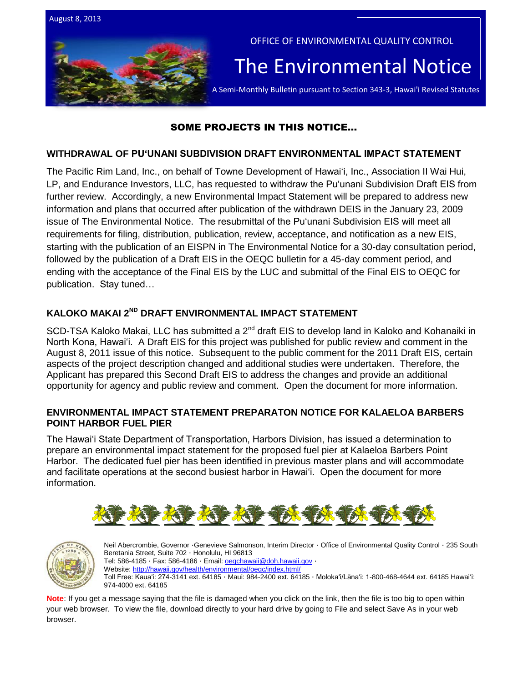

# SOME PROJECTS IN THIS NOTICE…

# **WITHDRAWAL OF PUʻUNANI SUBDIVISION DRAFT ENVIRONMENTAL IMPACT STATEMENT**

The Pacific Rim Land, Inc., on behalf of Towne Development of Hawaiʻi, Inc., Association II Wai Hui, LP, and Endurance Investors, LLC, has requested to withdraw the Puʻunani Subdivision Draft EIS from further review. Accordingly, a new Environmental Impact Statement will be prepared to address new information and plans that occurred after publication of the withdrawn DEIS in the January 23, 2009 issue of The Environmental Notice. The resubmittal of the Puʻunani Subdivision EIS will meet all requirements for filing, distribution, publication, review, acceptance, and notification as a new EIS, starting with the publication of an EISPN in The Environmental Notice for a 30-day consultation period, followed by the publication of a Draft EIS in the OEQC bulletin for a 45-day comment period, and ending with the acceptance of the Final EIS by the LUC and submittal of the Final EIS to OEQC for publication. Stay tuned…

# **KALOKO MAKAI 2ND DRAFT ENVIRONMENTAL IMPACT STATEMENT**

SCD-TSA Kaloko Makai, LLC has submitted a 2<sup>nd</sup> draft EIS to develop land in Kaloko and Kohanaiki in North Kona, Hawaiʻi. A Draft EIS for this project was published for public review and comment in the August 8, 2011 issue of this notice. Subsequent to the public comment for the 2011 Draft EIS, certain aspects of the project description changed and additional studies were undertaken. Therefore, the Applicant has prepared this Second Draft EIS to address the changes and provide an additional opportunity for agency and public review and comment. Open the document for more information.

## **ENVIRONMENTAL IMPACT STATEMENT PREPARATON NOTICE FOR KALAELOA BARBERS POINT HARBOR FUEL PIER**

The Hawaiʻi State Department of Transportation, Harbors Division, has issued a determination to prepare an environmental impact statement for the proposed fuel pier at Kalaeloa Barbers Point Harbor. The dedicated fuel pier has been identified in previous master plans and will accommodate and facilitate operations at the second busiest harbor in Hawaiʻi. Open the document for more information.





Neil Abercrombie, Governor ·Genevieve Salmonson, Interim Director · Office of Environmental Quality Control · 235 South Beretania Street, Suite 702 · Honolulu, HI 96813 Tel: 586-4185 · Fax: 586-4186 · Email: oegchawaii@doh.hawaii.gov · Website:<http://hawaii.gov/health/environmental/oeqc/index.html/> Toll Free: Kauaʻi: 274-3141 ext. 64185 · Maui: 984-2400 ext. 64185 · Molokaʻi/Lānaʻi: 1-800-468-4644 ext. 64185 Hawaiʻi: 974-4000 ext. 64185

**Note**: If you get a message saying that the file is damaged when you click on the link, then the file is too big to open within your web browser. To view the file, download directly to your hard drive by going to File and select Save As in your web browser.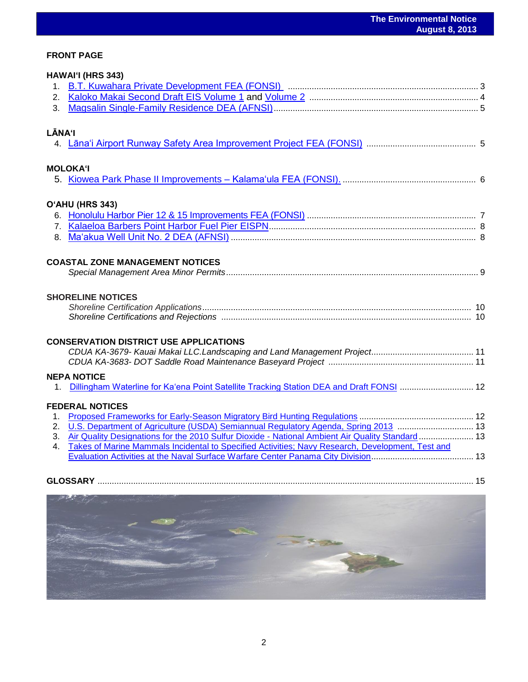# **FRONT PAGE**

|                | HAWAI'I (HRS 343)                                                                                |  |
|----------------|--------------------------------------------------------------------------------------------------|--|
|                |                                                                                                  |  |
| 3 <sub>1</sub> |                                                                                                  |  |
| <b>LĀNA'I</b>  |                                                                                                  |  |
|                |                                                                                                  |  |
|                | <b>MOLOKA'I</b>                                                                                  |  |
|                |                                                                                                  |  |
|                | O'AHU (HRS 343)                                                                                  |  |
|                |                                                                                                  |  |
|                |                                                                                                  |  |
|                |                                                                                                  |  |
|                | <b>COASTAL ZONE MANAGEMENT NOTICES</b>                                                           |  |
|                |                                                                                                  |  |
|                | <b>SHORELINE NOTICES</b>                                                                         |  |
|                |                                                                                                  |  |
|                |                                                                                                  |  |
|                | <b>CONSERVATION DISTRICT USE APPLICATIONS</b>                                                    |  |
|                |                                                                                                  |  |
|                | <b>NEPA NOTICE</b>                                                                               |  |
|                |                                                                                                  |  |
|                | <b>FEDERAL NOTICES</b>                                                                           |  |
| $1_{\cdot}$    |                                                                                                  |  |
|                | 2. U.S. Department of Agriculture (USDA) Semiannual Regulatory Agenda, Spring 2013  13           |  |
| 3.             | Air Quality Designations for the 2010 Sulfur Dioxide - National Ambient Air Quality Standard 13  |  |
| $4_{-}$        | Takes of Marine Mammals Incidental to Specified Activities; Navy Research, Development, Test and |  |
|                |                                                                                                  |  |
|                |                                                                                                  |  |
|                |                                                                                                  |  |

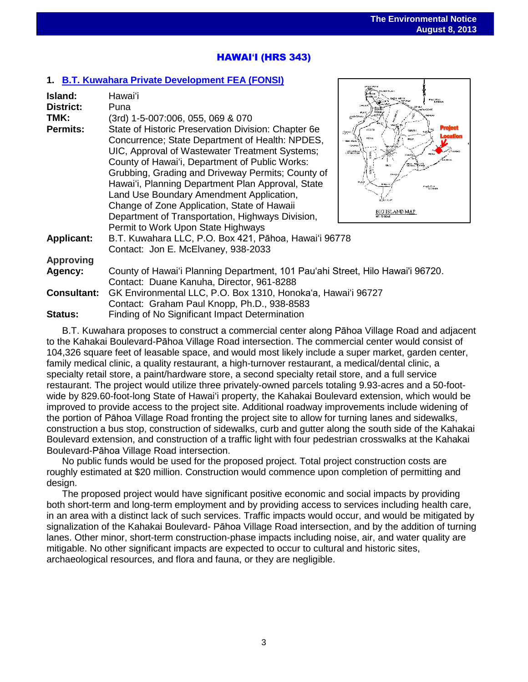J.

.<br>Gradu Pore

# HAWAI**ʻ**I (HRS 343)

# **1. [B.T. Kuwahara Private Development](http://oeqc.doh.hawaii.gov/Shared%20Documents/EA_and_EIS_Online_Library/Hawaii/2010s/2013-08-08-HA-5E-FEA-BT-Kuwahara-Private-Development.pdf) FEA (FONSI)**

| Island:<br><b>District:</b><br>TMK:<br><b>Permits:</b> | Hawai'i<br>Puna<br>(3rd) 1-5-007:006, 055, 069 & 070<br>State of Historic Preservation Division: Chapter 6e<br>Concurrence; State Department of Health: NPDES,<br>UIC, Approval of Wastewater Treatment Systems;<br>County of Hawai'i, Department of Public Works:<br>Grubbing, Grading and Driveway Permits; County of<br>Hawai'i, Planning Department Plan Approval, State<br>Land Use Boundary Amendment Application,<br>Change of Zone Application, State of Hawaii<br>Department of Transportation, Highways Division, | <b>ALCOHOL: N</b><br><b>PACIFIC</b><br><b>GOEAN</b><br>geboor<br>2000<br><b>CREATED</b><br>Land<br><b>LEWIS</b><br>racific<br>Doba<br>BIG ISLAND MAP |  |
|--------------------------------------------------------|-----------------------------------------------------------------------------------------------------------------------------------------------------------------------------------------------------------------------------------------------------------------------------------------------------------------------------------------------------------------------------------------------------------------------------------------------------------------------------------------------------------------------------|------------------------------------------------------------------------------------------------------------------------------------------------------|--|
| <b>Applicant:</b>                                      | Permit to Work Upon State Highways<br>B.T. Kuwahara LLC, P.O. Box 421, Pāhoa, Hawai'i 96778                                                                                                                                                                                                                                                                                                                                                                                                                                 |                                                                                                                                                      |  |
|                                                        | Contact: Jon E. McElvaney, 938-2033                                                                                                                                                                                                                                                                                                                                                                                                                                                                                         |                                                                                                                                                      |  |
| <b>Approving</b>                                       |                                                                                                                                                                                                                                                                                                                                                                                                                                                                                                                             |                                                                                                                                                      |  |
| Agency:                                                | County of Hawai'i Planning Department, 101 Pau'ahi Street, Hilo Hawai'i 96720.<br>Contact: Duane Kanuha, Director, 961-8288                                                                                                                                                                                                                                                                                                                                                                                                 |                                                                                                                                                      |  |
| <b>Consultant:</b>                                     | GK Environmental LLC, P.O. Box 1310, Honoka'a, Hawai'i 96727<br>Contact: Graham Paul Knopp, Ph.D., 938-8583                                                                                                                                                                                                                                                                                                                                                                                                                 |                                                                                                                                                      |  |
| Status:                                                | Finding of No Significant Impact Determination                                                                                                                                                                                                                                                                                                                                                                                                                                                                              |                                                                                                                                                      |  |

B.T. Kuwahara proposes to construct a commercial center along Pāhoa Village Road and adjacent to the Kahakai Boulevard-Pāhoa Village Road intersection. The commercial center would consist of 104,326 square feet of leasable space, and would most likely include a super market, garden center, family medical clinic, a quality restaurant, a high-turnover restaurant, a medical/dental clinic, a specialty retail store, a paint/hardware store, a second specialty retail store, and a full service restaurant. The project would utilize three privately-owned parcels totaling 9.93-acres and a 50-footwide by 829.60-foot-long State of Hawai'i property, the Kahakai Boulevard extension, which would be improved to provide access to the project site. Additional roadway improvements include widening of the portion of Pāhoa Village Road fronting the project site to allow for turning lanes and sidewalks, construction a bus stop, construction of sidewalks, curb and gutter along the south side of the Kahakai Boulevard extension, and construction of a traffic light with four pedestrian crosswalks at the Kahakai Boulevard-Pāhoa Village Road intersection.

No public funds would be used for the proposed project. Total project construction costs are roughly estimated at \$20 million. Construction would commence upon completion of permitting and design.

The proposed project would have significant positive economic and social impacts by providing both short-term and long-term employment and by providing access to services including health care, in an area with a distinct lack of such services. Traffic impacts would occur, and would be mitigated by signalization of the Kahakai Boulevard- Pāhoa Village Road intersection, and by the addition of turning lanes. Other minor, short-term construction-phase impacts including noise, air, and water quality are mitigable. No other significant impacts are expected to occur to cultural and historic sites, archaeological resources, and flora and fauna, or they are negligible.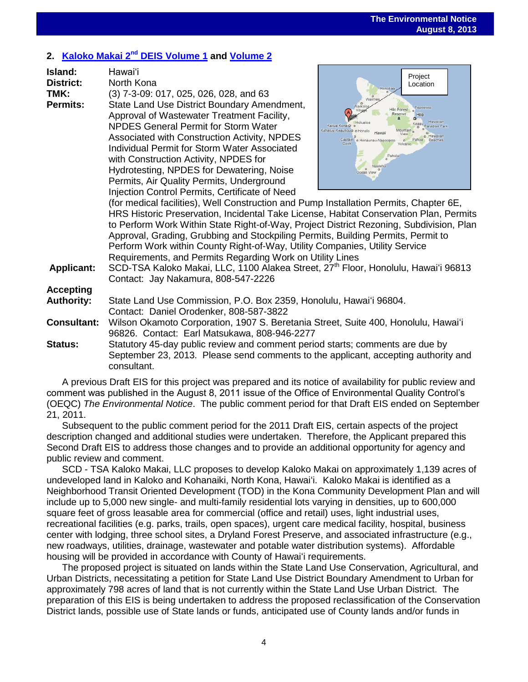# **2. [Kaloko Makai 2](http://oeqc.doh.hawaii.gov/Shared%20Documents/EA_and_EIS_Online_Library/Hawaii/2010s/2013-08-08-HA-5E-2ndDEIS-Kaloko-Makai-Volume-I.pdf) nd DEIS Volume 1 and [Volume 2](http://oeqc.doh.hawaii.gov/Shared%20Documents/EA_and_EIS_Online_Library/Hawaii/2010s/2013-08-08-HA-5E-2ndDEIS-Kaloko-Makai-Volume-2.pdf)**

| Island:         | Hawai'i                                             |
|-----------------|-----------------------------------------------------|
| District:       | North Kona                                          |
| TMK:            | (3) 7-3-09: 017, 025, 026, 028, and 63              |
| <b>Permits:</b> | State Land Use District Boundary Amendment,         |
|                 | Approval of Wastewater Treatment Facility,          |
|                 | <b>NPDES General Permit for Storm Water</b>         |
|                 | Associated with Construction Activity, NPDES        |
|                 | <b>Individual Permit for Storm Water Associated</b> |
|                 | with Construction Activity, NPDES for               |
|                 | Hydrotesting, NPDES for Dewatering, Noise           |
|                 | Permits, Air Quality Permits, Underground           |
|                 | Injection Control Permits, Certificate of Need      |
|                 | (for medical facilities), Well Construction and Pum |
|                 | HRS Historic Preservation, Incidental Take Licens   |



(ip Installation Permits, Chapter 6E, HRS Historic Preservation, Incidental Take License, Habitat Conservation Plan, Permits to Perform Work Within State Right-of-Way, Project District Rezoning, Subdivision, Plan Approval, Grading, Grubbing and Stockpiling Permits, Building Permits, Permit to Perform Work within County Right-of-Way, Utility Companies, Utility Service Requirements, and Permits Regarding Work on Utility Lines

**Applicant:** SCD-TSA Kaloko Makai, LLC, 1100 Alakea Street, 27th Floor, Honolulu, Hawaiʻi 96813 Contact: Jay Nakamura, 808-547-2226

# **Accepting**

| Authority: | State Land Use Commission, P.O. Box 2359, Honolulu, Hawai'i 96804. |
|------------|--------------------------------------------------------------------|
|            | Contact: Daniel Orodenker, 808-587-3822                            |

**Consultant:** Wilson Okamoto Corporation, 1907 S. Beretania Street, Suite 400, Honolulu, Hawaiʻi 96826. Contact: Earl Matsukawa, 808-946-2277

**Status:** Statutory 45-day public review and comment period starts; comments are due by September 23, 2013. Please send comments to the applicant, accepting authority and consultant.

A previous Draft EIS for this project was prepared and its notice of availability for public review and comment was published in the August 8, 2011 issue of the Office of Environmental Quality Control's (OEQC) *The Environmental Notice*. The public comment period for that Draft EIS ended on September 21, 2011.

Subsequent to the public comment period for the 2011 Draft EIS, certain aspects of the project description changed and additional studies were undertaken. Therefore, the Applicant prepared this Second Draft EIS to address those changes and to provide an additional opportunity for agency and public review and comment.

SCD - TSA Kaloko Makai, LLC proposes to develop Kaloko Makai on approximately 1,139 acres of undeveloped land in Kaloko and Kohanaiki, North Kona, Hawaiʻi. Kaloko Makai is identified as a Neighborhood Transit Oriented Development (TOD) in the Kona Community Development Plan and will include up to 5,000 new single- and multi-family residential lots varying in densities, up to 600,000 square feet of gross leasable area for commercial (office and retail) uses, light industrial uses, recreational facilities (e.g. parks, trails, open spaces), urgent care medical facility, hospital, business center with lodging, three school sites, a Dryland Forest Preserve, and associated infrastructure (e.g., new roadways, utilities, drainage, wastewater and potable water distribution systems). Affordable housing will be provided in accordance with County of Hawaiʻi requirements.

The proposed project is situated on lands within the State Land Use Conservation, Agricultural, and Urban Districts, necessitating a petition for State Land Use District Boundary Amendment to Urban for approximately 798 acres of land that is not currently within the State Land Use Urban District. The preparation of this EIS is being undertaken to address the proposed reclassification of the Conservation District lands, possible use of State lands or funds, anticipated use of County lands and/or funds in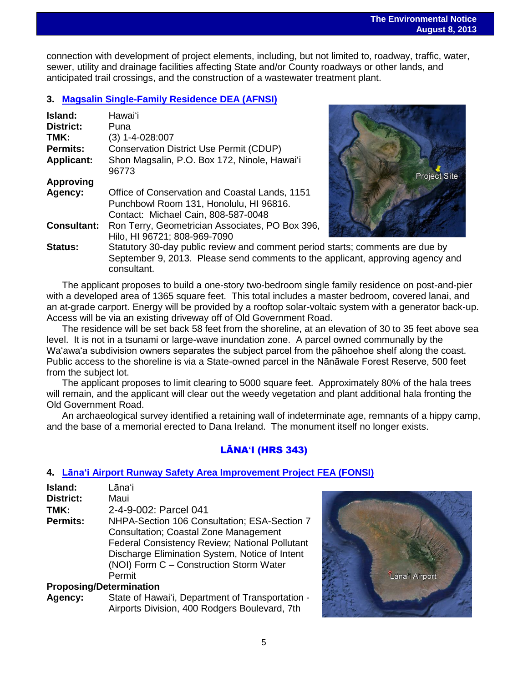connection with development of project elements, including, but not limited to, roadway, traffic, water, sewer, utility and drainage facilities affecting State and/or County roadways or other lands, and anticipated trail crossings, and the construction of a wastewater treatment plant.

# **3. [Magsalin Single-Family Residence](http://oeqc.doh.hawaii.gov/Shared%20Documents/EA_and_EIS_Online_Library/Hawaii/2010s/2013-08-08-HA-5E-DEA-Magsalin-Single-Family-Residence.pdf) DEA (AFNSI)**

| Island:<br><b>District:</b> | Hawai'i<br>Puna                                                                                                                  |
|-----------------------------|----------------------------------------------------------------------------------------------------------------------------------|
| TMK:                        | $(3)$ 1-4-028:007                                                                                                                |
| <b>Permits:</b>             | <b>Conservation District Use Permit (CDUP)</b>                                                                                   |
| <b>Applicant:</b>           | Shon Magsalin, P.O. Box 172, Ninole, Hawai'i<br>96773                                                                            |
| <b>Approving</b>            |                                                                                                                                  |
| Agency:                     | Office of Conservation and Coastal Lands, 1151<br>Punchbowl Room 131, Honolulu, HI 96816.<br>Contact: Michael Cain, 808-587-0048 |
| <b>Consultant:</b>          | Ron Terry, Geometrician Associates, PO Box 396,<br>Hilo, HI 96721; 808-969-7090                                                  |
| Status:                     | Statutory 30-day public review and comment period<br>September 9, 2013. Please send comments to the                              |



**Starts: comments are due by** and **comments** are due by e send comments to the applicant, approving agency and consultant.

The applicant proposes to build a one-story two-bedroom single family residence on post-and-pier with a developed area of 1365 square feet. This total includes a master bedroom, covered lanai, and an at-grade carport. Energy will be provided by a rooftop solar-voltaic system with a generator back-up. Access will be via an existing driveway off of Old Government Road.

The residence will be set back 58 feet from the shoreline, at an elevation of 30 to 35 feet above sea level. It is not in a tsunami or large-wave inundation zone. A parcel owned communally by the Waʻawaʻa subdivision owners separates the subject parcel from the pāhoehoe shelf along the coast. Public access to the shoreline is via a State-owned parcel in the Nānāwale Forest Reserve, 500 feet from the subject lot.

The applicant proposes to limit clearing to 5000 square feet. Approximately 80% of the hala trees will remain, and the applicant will clear out the weedy vegetation and plant additional hala fronting the Old Government Road.

An archaeological survey identified a retaining wall of indeterminate age, remnants of a hippy camp, and the base of a memorial erected to Dana Ireland. The monument itself no longer exists.

# LĀNA**ʻ**I (HRS 343)

# **4. Lānaʻi [Airport Runway Safety Area Improvement Project FEA \(FONSI\)](http://oeqc.doh.hawaii.gov/Shared%20Documents/EA_and_EIS_Online_Library/Lanai/2010s/2013-08-08-LA-5B-FEA-Lanai-Airport-Runway-Safety-Improments.pdf)**

| Island:   | Lāna'i                |
|-----------|-----------------------|
| District: | Maui                  |
| TMK:      | 2-4-9-002: Parcel 041 |

**Permits:** NHPA-Section 106 Consultation; ESA-Section 7 Consultation; Coastal Zone Management Federal Consistency Review; National Pollutant Discharge Elimination System, Notice of Intent (NOI) Form C – Construction Storm Water Permit

# **Proposing/Determination**

**Agency:** State of Hawaiʻi, Department of Transportation - Airports Division, 400 Rodgers Boulevard, 7th

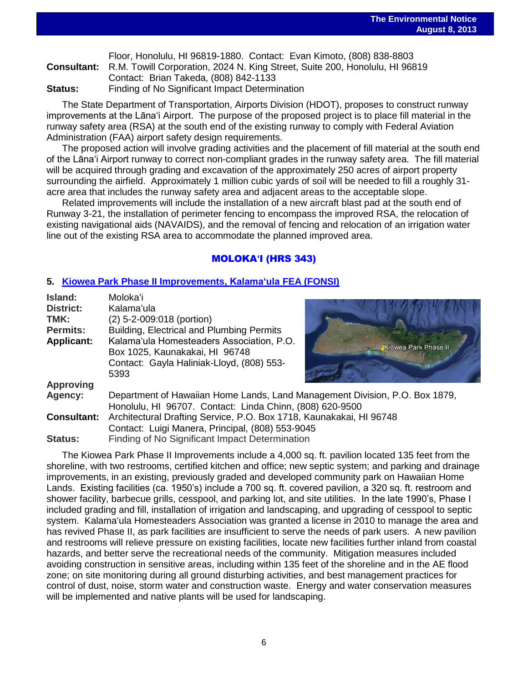|         | Floor, Honolulu, HI 96819-1880. Contact: Evan Kimoto, (808) 838-8803                           |  |
|---------|------------------------------------------------------------------------------------------------|--|
|         | <b>Consultant:</b> R.M. Towill Corporation, 2024 N. King Street, Suite 200, Honolulu, HI 96819 |  |
|         | Contact: Brian Takeda, (808) 842-1133                                                          |  |
| Status: | Finding of No Significant Impact Determination                                                 |  |

The State Department of Transportation, Airports Division (HDOT), proposes to construct runway improvements at the Lāna'i Airport. The purpose of the proposed project is to place fill material in the runway safety area (RSA) at the south end of the existing runway to comply with Federal Aviation Administration (FAA) airport safety design requirements.

The proposed action will involve grading activities and the placement of fill material at the south end of the Lāna'i Airport runway to correct non-compliant grades in the runway safety area. The fill material will be acquired through grading and excavation of the approximately 250 acres of airport property surrounding the airfield. Approximately 1 million cubic yards of soil will be needed to fill a roughly 31 acre area that includes the runway safety area and adjacent areas to the acceptable slope.

Related improvements will include the installation of a new aircraft blast pad at the south end of Runway 3-21, the installation of perimeter fencing to encompass the improved RSA, the relocation of existing navigational aids (NAVAIDS), and the removal of fencing and relocation of an irrigation water line out of the existing RSA area to accommodate the planned improved area.

# MOLOKA**ʻ**I (HRS 343)

## **5. [Kiowea Park Phase II Improvements, Kalamaʻula](http://oeqc.doh.hawaii.gov/Shared%20Documents/EA_and_EIS_Online_Library/Molokai/2010s/2013-08-08-MO-5E-FEA-Kiowea-Park-Improvements-Phase-II-Kalamaula.pdf) FEA (FONSI)**

| Island:            | Molokaʻi                                                                                                                                |                      |  |
|--------------------|-----------------------------------------------------------------------------------------------------------------------------------------|----------------------|--|
| <b>District:</b>   | Kalama'ula                                                                                                                              |                      |  |
| TMK:               | (2) 5-2-009:018 (portion)                                                                                                               |                      |  |
| <b>Permits:</b>    | Building, Electrical and Plumbing Permits                                                                                               |                      |  |
| <b>Applicant:</b>  | Kalama'ula Homesteaders Association, P.O.<br>Box 1025, Kaunakakai, HI 96748<br>Contact: Gayla Haliniak-Lloyd, (808) 553-<br>5393        | Kiowea Park Phase II |  |
| <b>Approving</b>   |                                                                                                                                         |                      |  |
| Agency:            | Department of Hawaiian Home Lands, Land Management Division, P.O. Box 1879,<br>Honolulu, HI 96707. Contact: Linda Chinn, (808) 620-9500 |                      |  |
| <b>Consultant:</b> | Architectural Drafting Service, P.O. Box 1718, Kaunakakai, HI 96748                                                                     |                      |  |
|                    | Contact: Luigi Manera, Principal, (808) 553-9045                                                                                        |                      |  |
| <b>Status:</b>     | Finding of No Significant Impact Determination                                                                                          |                      |  |

The Kiowea Park Phase II Improvements include a 4,000 sq. ft. pavilion located 135 feet from the shoreline, with two restrooms, certified kitchen and office; new septic system; and parking and drainage improvements, in an existing, previously graded and developed community park on Hawaiian Home Lands. Existing facilities (ca. 1950's) include a 700 sq. ft. covered pavilion, a 320 sq. ft. restroom and shower facility, barbecue grills, cesspool, and parking lot, and site utilities. In the late 1990's, Phase I included grading and fill, installation of irrigation and landscaping, and upgrading of cesspool to septic system. Kalamaʻula Homesteaders Association was granted a license in 2010 to manage the area and has revived Phase II, as park facilities are insufficient to serve the needs of park users. A new pavilion and restrooms will relieve pressure on existing facilities, locate new facilities further inland from coastal hazards, and better serve the recreational needs of the community. Mitigation measures included avoiding construction in sensitive areas, including within 135 feet of the shoreline and in the AE flood zone; on site monitoring during all ground disturbing activities, and best management practices for control of dust, noise, storm water and construction waste. Energy and water conservation measures will be implemented and native plants will be used for landscaping.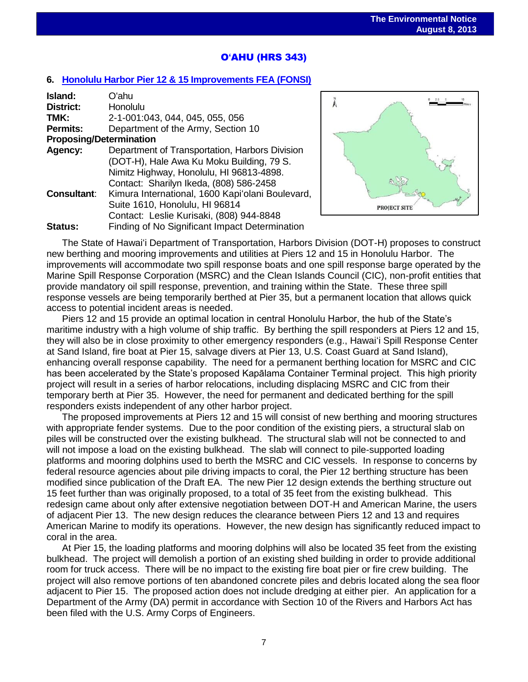# O**ʻ**AHU (HRS 343)

### **6. [Honolulu Harbor Pier 12 & 15 Improvements](http://oeqc.doh.hawaii.gov/Shared%20Documents/EA_and_EIS_Online_Library/Oahu/2010s/2013-08-08-OA-5B-FEA-Honolulu-Harbor-Piers-12-and-15-Improvements.pdf) FEA (FONSI)**

| Island:            | Oʻahu                                            |  |  |  |  |
|--------------------|--------------------------------------------------|--|--|--|--|
| <b>District:</b>   | Honolulu                                         |  |  |  |  |
| TMK:               | 2-1-001:043, 044, 045, 055, 056                  |  |  |  |  |
| <b>Permits:</b>    | Department of the Army, Section 10               |  |  |  |  |
|                    | <b>Proposing/Determination</b>                   |  |  |  |  |
| Agency:            | Department of Transportation, Harbors Division   |  |  |  |  |
|                    | (DOT-H), Hale Awa Ku Moku Building, 79 S.        |  |  |  |  |
|                    | Nimitz Highway, Honolulu, HI 96813-4898.         |  |  |  |  |
|                    | Contact: Sharilyn Ikeda, (808) 586-2458          |  |  |  |  |
| <b>Consultant:</b> | Kimura International, 1600 Kapi'olani Boulevard, |  |  |  |  |
|                    | Suite 1610, Honolulu, HI 96814                   |  |  |  |  |
|                    | Contact: Leslie Kurisaki, (808) 944-8848         |  |  |  |  |
| Status:            | Finding of No Significant Impact Determination   |  |  |  |  |



The State of Hawaiʻi Department of Transportation, Harbors Division (DOT-H) proposes to construct new berthing and mooring improvements and utilities at Piers 12 and 15 in Honolulu Harbor. The improvements will accommodate two spill response boats and one spill response barge operated by the Marine Spill Response Corporation (MSRC) and the Clean Islands Council (CIC), non-profit entities that provide mandatory oil spill response, prevention, and training within the State. These three spill response vessels are being temporarily berthed at Pier 35, but a permanent location that allows quick access to potential incident areas is needed.

Piers 12 and 15 provide an optimal location in central Honolulu Harbor, the hub of the State's maritime industry with a high volume of ship traffic. By berthing the spill responders at Piers 12 and 15, they will also be in close proximity to other emergency responders (e.g., Hawaiʻi Spill Response Center at Sand Island, fire boat at Pier 15, salvage divers at Pier 13, U.S. Coast Guard at Sand Island), enhancing overall response capability. The need for a permanent berthing location for MSRC and CIC has been accelerated by the State's proposed Kapālama Container Terminal project. This high priority project will result in a series of harbor relocations, including displacing MSRC and CIC from their temporary berth at Pier 35. However, the need for permanent and dedicated berthing for the spill responders exists independent of any other harbor project.

The proposed improvements at Piers 12 and 15 will consist of new berthing and mooring structures with appropriate fender systems. Due to the poor condition of the existing piers, a structural slab on piles will be constructed over the existing bulkhead. The structural slab will not be connected to and will not impose a load on the existing bulkhead. The slab will connect to pile-supported loading platforms and mooring dolphins used to berth the MSRC and CIC vessels. In response to concerns by federal resource agencies about pile driving impacts to coral, the Pier 12 berthing structure has been modified since publication of the Draft EA. The new Pier 12 design extends the berthing structure out 15 feet further than was originally proposed, to a total of 35 feet from the existing bulkhead. This redesign came about only after extensive negotiation between DOT-H and American Marine, the users of adjacent Pier 13. The new design reduces the clearance between Piers 12 and 13 and requires American Marine to modify its operations. However, the new design has significantly reduced impact to coral in the area.

At Pier 15, the loading platforms and mooring dolphins will also be located 35 feet from the existing bulkhead. The project will demolish a portion of an existing shed building in order to provide additional room for truck access. There will be no impact to the existing fire boat pier or fire crew building. The project will also remove portions of ten abandoned concrete piles and debris located along the sea floor adjacent to Pier 15. The proposed action does not include dredging at either pier. An application for a Department of the Army (DA) permit in accordance with Section 10 of the Rivers and Harbors Act has been filed with the U.S. Army Corps of Engineers.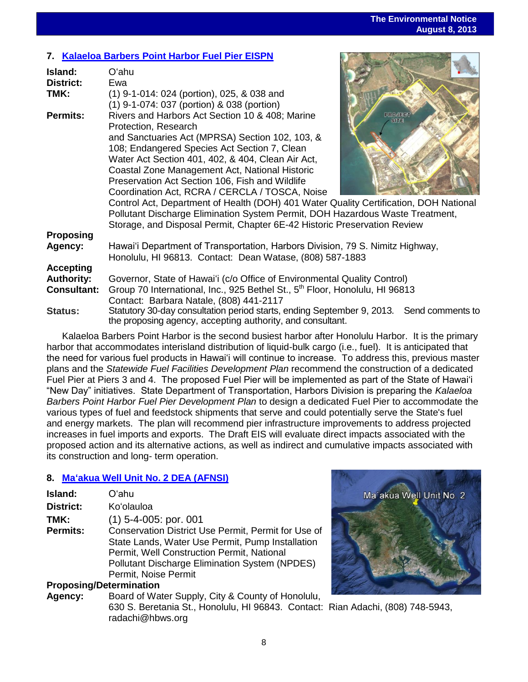# **7. Kalaeloa Barbers [Point Harbor Fuel Pier EISPN](http://oeqc.doh.hawaii.gov/Shared%20Documents/EA_and_EIS_Online_Library/Oahu/2010s/2013-08-08-OA-5B-EISPN-Kalaeloa-Barbers-Point-Harbor-Fuel-Pier.pdf)**

| Island:<br><b>District:</b>                                 | Oʻahu<br>Ewa                                                                                                                                                                                                                                       |                        |  |
|-------------------------------------------------------------|----------------------------------------------------------------------------------------------------------------------------------------------------------------------------------------------------------------------------------------------------|------------------------|--|
| TMK:                                                        | (1) 9-1-014: 024 (portion), 025, & 038 and<br>(1) 9-1-074: 037 (portion) & 038 (portion)                                                                                                                                                           |                        |  |
| <b>Permits:</b>                                             | Rivers and Harbors Act Section 10 & 408; Marine<br>Protection, Research<br>and Sanctuaries Act (MPRSA) Section 102, 103, &<br>108; Endangered Species Act Section 7, Clean                                                                         | <b>PROJECT</b><br>SITE |  |
|                                                             | Water Act Section 401, 402, & 404, Clean Air Act,<br>Coastal Zone Management Act, National Historic<br>Preservation Act Section 106, Fish and Wildlife<br>Coordination Act, RCRA / CERCLA / TOSCA, Noise                                           |                        |  |
|                                                             | Control Act, Department of Health (DOH) 401 Water Quality Certification, DOH National<br>Pollutant Discharge Elimination System Permit, DOH Hazardous Waste Treatment,<br>Storage, and Disposal Permit, Chapter 6E-42 Historic Preservation Review |                        |  |
| <b>Proposing</b><br>Agency:                                 | Hawai'i Department of Transportation, Harbors Division, 79 S. Nimitz Highway,<br>Honolulu, HI 96813. Contact: Dean Watase, (808) 587-1883                                                                                                          |                        |  |
| <b>Accepting</b><br><b>Authority:</b><br><b>Consultant:</b> | Governor, State of Hawai'i (c/o Office of Environmental Quality Control)<br>Group 70 International, Inc., 925 Bethel St., 5 <sup>th</sup> Floor, Honolulu, HI 96813<br>Contact: Barbara Natale, (808) 441-2117                                     |                        |  |
| <b>Status:</b>                                              | Statutory 30-day consultation period starts, ending September 9, 2013. Send comments to<br>the proposing agency, accepting authority, and consultant.                                                                                              |                        |  |

Kalaeloa Barbers Point Harbor is the second busiest harbor after Honolulu Harbor. It is the primary harbor that accommodates interisland distribution of liquid-bulk cargo (i.e., fuel). It is anticipated that the need for various fuel products in Hawai'i will continue to increase. To address this, previous master plans and the *Statewide Fuel Facilities Development Plan* recommend the construction of a dedicated Fuel Pier at Piers 3 and 4. The proposed Fuel Pier will be implemented as part of the State of Hawai'i "New Day" initiatives. State Department of Transportation, Harbors Division is preparing the *Kalaeloa Barbers Point Harbor Fuel Pier Development Plan* to design a dedicated Fuel Pier to accommodate the various types of fuel and feedstock shipments that serve and could potentially serve the State's fuel and energy markets. The plan will recommend pier infrastructure improvements to address projected increases in fuel imports and exports. The Draft EIS will evaluate direct impacts associated with the proposed action and its alternative actions, as well as indirect and cumulative impacts associated with its construction and long- term operation.

# **8. [Maʻakua Well Unit No. 2 DEA \(AFNSI\)](http://oeqc.doh.hawaii.gov/Shared%20Documents/EA_and_EIS_Online_Library/Oahu/2010s/2013-08-08-OA-5B-DEA-Maakua-Wells-Unit-Number-2.pdf)**

| Island:          | Oʻahu                                                                                                                                                                                                                                  |
|------------------|----------------------------------------------------------------------------------------------------------------------------------------------------------------------------------------------------------------------------------------|
| <b>District:</b> | Ko'olauloa                                                                                                                                                                                                                             |
| TMK:             | $(1)$ 5-4-005: por. 001                                                                                                                                                                                                                |
| <b>Permits:</b>  | Conservation District Use Permit, Permit for Use of<br>State Lands, Water Use Permit, Pump Installation<br>Permit, Well Construction Permit, National<br><b>Pollutant Discharge Elimination System (NPDES)</b><br>Permit, Noise Permit |

# **Proposing/Determination**

**Agency:** Board of Water Supply, City & County of Honolulu, 630 S. Beretania St., Honolulu, HI 96843. Contact: Rian Adachi, (808) 748-5943, radachi@hbws.org

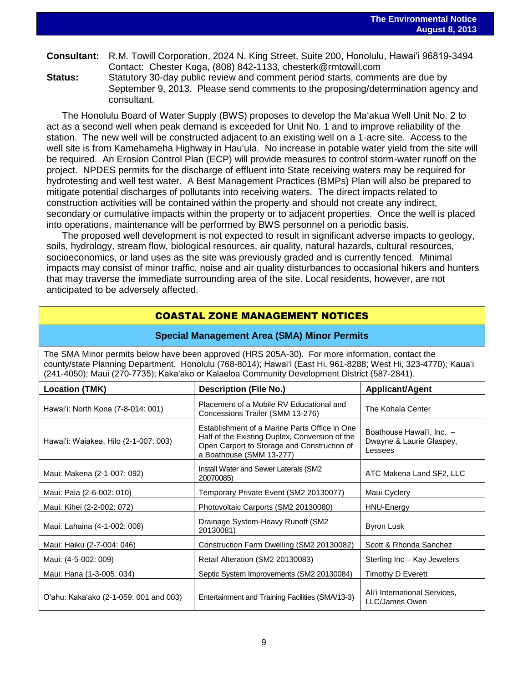# **Consultant:** R.M. Towill Corporation, 2024 N. King Street, Suite 200, Honolulu, Hawai'i 96819-3494 Contact: Chester Koga, (808) 842-1133, chesterk@rmtowill.com

**Status:** Statutory 30-day public review and comment period starts, comments are due by September 9, 2013. Please send comments to the proposing/determination agency and consultant.

The Honolulu Board of Water Supply (BWS) proposes to develop the Ma'akua Well Unit No. 2 to act as a second well when peak demand is exceeded for Unit No. 1 and to improve reliability of the station. The new well will be constructed adjacent to an existing well on a 1-acre site. Access to the well site is from Kamehameha Highway in Hauʻula. No increase in potable water yield from the site will be required. An Erosion Control Plan (ECP) will provide measures to control storm-water runoff on the project. NPDES permits for the discharge of effluent into State receiving waters may be required for hydrotesting and well test water. A Best Management Practices (BMPs) Plan will also be prepared to mitigate potential discharges of pollutants into receiving waters. The direct impacts related to construction activities will be contained within the property and should not create any indirect, secondary or cumulative impacts within the property or to adjacent properties. Once the well is placed into operations, maintenance will be performed by BWS personnel on a periodic basis.

The proposed well development is not expected to result in significant adverse impacts to geology, soils, hydrology, stream flow, biological resources, air quality, natural hazards, cultural resources, socioeconomics, or land uses as the site was previously graded and is currently fenced. Minimal impacts may consist of minor traffic, noise and air quality disturbances to occasional hikers and hunters that may traverse the immediate surrounding area of the site. Local residents, however, are not anticipated to be adversely affected.

# COASTAL ZONE MANAGEMENT NOTICES

### **Special Management Area (SMA) Minor Permits**

The SMA Minor permits below have been approved (HRS 205A-30). For more information, contact the county/state Planning Department. Honolulu (768-8014); Hawaiʻi (East Hi, 961-8288; West Hi, 323-4770); Kauaʻi (241-4050); Maui (270-7735); Kakaʻako or Kalaeloa Community Development District (587-2841).

| <b>Location (TMK)</b>                  | <b>Description (File No.)</b>                                                                                                                                              | <b>Applicant/Agent</b>                                           |
|----------------------------------------|----------------------------------------------------------------------------------------------------------------------------------------------------------------------------|------------------------------------------------------------------|
| Hawai'i: North Kona (7-8-014: 001)     | Placement of a Mobile RV Educational and<br>Concessions Trailer (SMM 13-276)                                                                                               | The Kohala Center                                                |
| Hawai'i: Waiakea, Hilo (2-1-007: 003)  | Establishment of a Marine Parts Office in One<br>Half of the Existing Duplex, Conversion of the<br>Open Carport to Storage and Construction of<br>a Boathouse (SMM 13-277) | Boathouse Hawai'i, Inc. -<br>Dwayne & Laurie Glaspey,<br>Lessees |
| Maui: Makena (2-1-007: 092)            | Install Water and Sewer Laterals (SM2)<br>20070085)                                                                                                                        | ATC Makena Land SF2, LLC                                         |
| Maui: Paia (2-6-002: 010)              | Temporary Private Event (SM2 20130077)                                                                                                                                     | Maui Cyclery                                                     |
| Maui: Kihei (2-2-002: 072)             | Photovoltaic Carports (SM2 20130080)                                                                                                                                       | HNU-Energy                                                       |
| Maui: Lahaina (4-1-002: 008)           | Drainage System-Heavy Runoff (SM2)<br>20130081)                                                                                                                            | <b>Byron Lusk</b>                                                |
| Maui: Haiku (2-7-004: 046)             | Construction Farm Dwelling (SM2 20130082)                                                                                                                                  | Scott & Rhonda Sanchez                                           |
| Maui: (4-5-002: 009)                   | Retail Alteration (SM2 20130083)                                                                                                                                           | Sterling Inc - Kay Jewelers                                      |
| Maui: Hana (1-3-005: 034)              | Septic System Improvements (SM2 20130084)                                                                                                                                  | Timothy D Everett                                                |
| O'ahu: Kaka'ako (2-1-059: 001 and 003) | Entertainment and Training Facilities (SMA/13-3)                                                                                                                           | Ali'i International Services,<br>LLC/James Owen                  |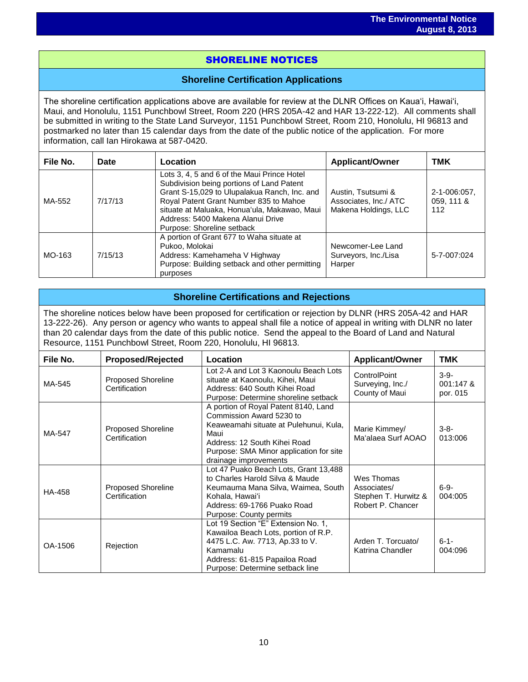# SHORELINE NOTICES

i<br>I

## **Shoreline Certification Applications**

The shoreline certification applications above are available for review at the DLNR Offices on Kauaʻi, Hawaiʻi, Maui, and Honolulu, 1151 Punchbowl Street, Room 220 (HRS 205A-42 and HAR 13-222-12). All comments shall be submitted in writing to the State Land Surveyor, 1151 Punchbowl Street, Room 210, Honolulu, HI 96813 and postmarked no later than 15 calendar days from the date of the public notice of the application. For more information, call Ian Hirokawa at 587-0420.

| File No. | Date    | Location                                                                                                                                                                                                                                                                                              | <b>Applicant/Owner</b>                                              | TMK                               |
|----------|---------|-------------------------------------------------------------------------------------------------------------------------------------------------------------------------------------------------------------------------------------------------------------------------------------------------------|---------------------------------------------------------------------|-----------------------------------|
| MA-552   | 7/17/13 | Lots 3, 4, 5 and 6 of the Maui Prince Hotel<br>Subdivision being portions of Land Patent<br>Grant S-15,029 to Ulupalakua Ranch, Inc. and<br>Royal Patent Grant Number 835 to Mahoe<br>situate at Maluaka, Honua'ula, Makawao, Maui<br>Address: 5400 Makena Alanui Drive<br>Purpose: Shoreline setback | Austin, Tsutsumi &<br>Associates, Inc./ ATC<br>Makena Holdings, LLC | 2-1-006:057.<br>059, 111 &<br>112 |
| MO-163   | 7/15/13 | A portion of Grant 677 to Waha situate at<br>Pukoo, Molokai<br>Address: Kamehameha V Highway<br>Purpose: Building setback and other permitting<br>purposes                                                                                                                                            | Newcomer-Lee Land<br>Surveyors, Inc./Lisa<br>Harper                 | 5-7-007:024                       |

## **Shoreline Certifications and Rejections**

The shoreline notices below have been proposed for certification or rejection by DLNR (HRS 205A-42 and HAR 13-222-26). Any person or agency who wants to appeal shall file a notice of appeal in writing with DLNR no later than 20 calendar days from the date of this public notice. Send the appeal to the Board of Land and Natural Resource, 1151 Punchbowl Street, Room 220, Honolulu, HI 96813.

| File No. | <b>Proposed/Rejected</b>                   | Location                                                                                                                                                                                                               | <b>Applicant/Owner</b>                                                 | <b>TMK</b>                      |
|----------|--------------------------------------------|------------------------------------------------------------------------------------------------------------------------------------------------------------------------------------------------------------------------|------------------------------------------------------------------------|---------------------------------|
| MA-545   | <b>Proposed Shoreline</b><br>Certification | Lot 2-A and Lot 3 Kaonoulu Beach Lots<br>situate at Kaonoulu, Kihei, Maui<br>Address: 640 South Kihei Road<br>Purpose: Determine shoreline setback                                                                     | ControlPoint<br>Surveying, Inc./<br>County of Maui                     | $3-9-$<br>001:147 &<br>por. 015 |
| MA-547   | <b>Proposed Shoreline</b><br>Certification | A portion of Royal Patent 8140, Land<br>Commission Award 5230 to<br>Keaweamahi situate at Pulehunui, Kula,<br>Maui<br>Address: 12 South Kihei Road<br>Purpose: SMA Minor application for site<br>drainage improvements | Marie Kimmey/<br>Ma'alaea Surf AOAO                                    | $3 - 8 -$<br>013:006            |
| HA-458   | <b>Proposed Shoreline</b><br>Certification | Lot 47 Puako Beach Lots, Grant 13,488<br>to Charles Harold Silva & Maude<br>Keumauma Mana Silva, Waimea, South<br>Kohala, Hawai'i<br>Address: 69-1766 Puako Road<br>Purpose: County permits                            | Wes Thomas<br>Associates/<br>Stephen T. Hurwitz &<br>Robert P. Chancer | $6 - 9 -$<br>004:005            |
| OA-1506  | Rejection                                  | Lot 19 Section "E" Extension No. 1,<br>Kawailoa Beach Lots, portion of R.P.<br>4475 L.C. Aw. 7713, Ap.33 to V.<br>Kamamalu<br>Address: 61-815 Papailoa Road<br>Purpose: Determine setback line                         | Arden T. Torcuato/<br>Katrina Chandler                                 | $6 - 1 -$<br>004:096            |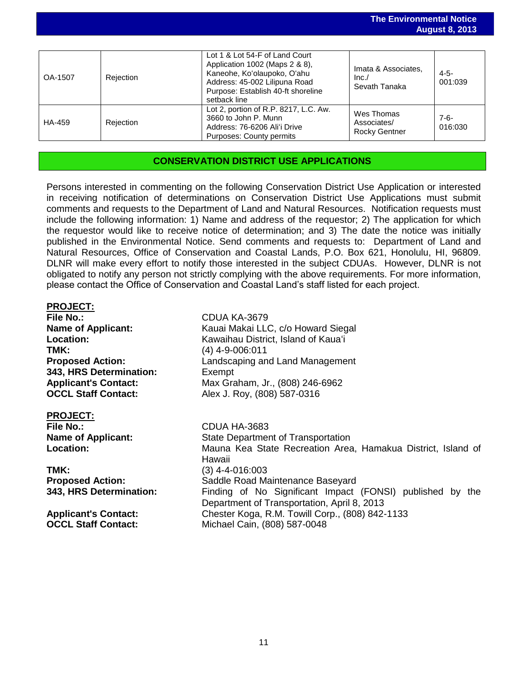| OA-1507 | Rejection | Lot 1 & Lot 54-F of Land Court<br>Application 1002 (Maps 2 & 8),<br>Kaneohe, Ko'olaupoko, O'ahu<br>Address: 45-002 Lilipuna Road<br>Purpose: Establish 40-ft shoreline<br>setback line | Imata & Associates.<br>Inc.<br>Sevath Tanaka      | 4-5-<br>001:039      |
|---------|-----------|----------------------------------------------------------------------------------------------------------------------------------------------------------------------------------------|---------------------------------------------------|----------------------|
| HA-459  | Rejection | Lot 2, portion of R.P. 8217, L.C. Aw.<br>3660 to John P. Munn<br>Address: 76-6206 Ali'i Drive<br><b>Purposes: County permits</b>                                                       | Wes Thomas<br>Associates/<br><b>Rocky Gentner</b> | $7 - 6 -$<br>016:030 |

## **CONSERVATION DISTRICT USE APPLICATIONS**

Persons interested in commenting on the following Conservation District Use Application or interested in receiving notification of determinations on Conservation District Use Applications must submit comments and requests to the Department of Land and Natural Resources. Notification requests must include the following information: 1) Name and address of the requestor; 2) The application for which the requestor would like to receive notice of determination; and 3) The date the notice was initially published in the Environmental Notice. Send comments and requests to: Department of Land and Natural Resources, Office of Conservation and Coastal Lands, P.O. Box 621, Honolulu, HI, 96809. DLNR will make every effort to notify those interested in the subject CDUAs. However, DLNR is not obligated to notify any person not strictly complying with the above requirements. For more information, please contact the Office of Conservation and Coastal Land's staff listed for each project.

### **PROJECT:**

**File No.:** CDUA KA-3679 **TMK:** (4) 4-9-006:011 **343, HRS Determination:** Exempt

# **PROJECT:**

**TMK:** (3) 4-4-016:003

**Name of Applicant:** Kauai Makai LLC, c/o Howard Siegal **Location:** Kawaihau District, Island of Kauaʻi **Proposed Action:** Landscaping and Land Management **Applicant's Contact:** Max Graham, Jr., (808) 246-6962 **OCCL Staff Contact:** Alex J. Roy, (808) 587-0316

**File No.:** CDUA HA-3683 **Name of Applicant:** State Department of Transportation **Location:** Mauna Kea State Recreation Area, Hamakua District, Island of Hawaii **Proposed Action:** Saddle Road Maintenance Baseyard **343, HRS Determination:** Finding of No Significant Impact (FONSI) published by the Department of Transportation, April 8, 2013 **Applicant's Contact:** Chester Koga, R.M. Towill Corp., (808) 842-1133 **OCCL Staff Contact:** Michael Cain, (808) 587-0048

**The Environmental Notice**

**August 8, 2013**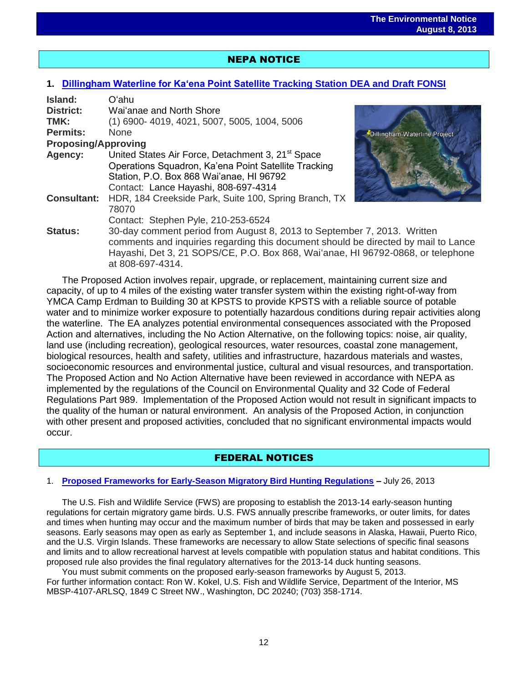# NEPA NOTICE

i<br>I

### **1. [Dillingham Waterline for Kaʻena Point Satellite Tracking Station](http://oeqc.doh.hawaii.gov/Shared%20Documents/EA_and_EIS_Online_Library/NEPA%20and%20Other%20Documents/2013-08-08-OA-NEPA-DEA-Dillingham-Waterline-for-Kaena-Point-Satellite-Tracking-Station.pdf) DEA and Draft FONSI**

| Island:<br><b>District:</b><br>TMK:<br><b>Permits:</b> | O'ahu<br>Wai'anae and North Shore<br>(1) 6900-4019, 4021, 5007, 5005, 1004, 5006<br><b>None</b><br>Dillingham Waterline Project                                                                                                                                      |  |
|--------------------------------------------------------|----------------------------------------------------------------------------------------------------------------------------------------------------------------------------------------------------------------------------------------------------------------------|--|
| <b>Proposing/Approving</b>                             |                                                                                                                                                                                                                                                                      |  |
| Agency:                                                | United States Air Force, Detachment 3, 21 <sup>st</sup> Space<br>Operations Squadron, Ka'ena Point Satellite Tracking<br>Station, P.O. Box 868 Wai'anae, HI 96792<br>Contact: Lance Hayashi, 808-697-4314                                                            |  |
| <b>Consultant:</b>                                     | HDR, 184 Creekside Park, Suite 100, Spring Branch, TX<br>78070<br>Contact: Stephen Pyle, 210-253-6524                                                                                                                                                                |  |
| <b>Status:</b>                                         | 30-day comment period from August 8, 2013 to September 7, 2013. Written<br>comments and inquiries regarding this document should be directed by mail to Lance<br>Hayashi, Det 3, 21 SOPS/CE, P.O. Box 868, Wai'anae, HI 96792-0868, or telephone<br>at 808-697-4314. |  |

The Proposed Action involves repair, upgrade, or replacement, maintaining current size and capacity, of up to 4 miles of the existing water transfer system within the existing right-of-way from YMCA Camp Erdman to Building 30 at KPSTS to provide KPSTS with a reliable source of potable water and to minimize worker exposure to potentially hazardous conditions during repair activities along the waterline. The EA analyzes potential environmental consequences associated with the Proposed Action and alternatives, including the No Action Alternative, on the following topics: noise, air quality, land use (including recreation), geological resources, water resources, coastal zone management, biological resources, health and safety, utilities and infrastructure, hazardous materials and wastes, socioeconomic resources and environmental justice, cultural and visual resources, and transportation. The Proposed Action and No Action Alternative have been reviewed in accordance with NEPA as implemented by the regulations of the Council on Environmental Quality and 32 Code of Federal Regulations Part 989. Implementation of the Proposed Action would not result in significant impacts to the quality of the human or natural environment. An analysis of the Proposed Action, in conjunction with other present and proposed activities, concluded that no significant environmental impacts would occur.

# FEDERAL NOTICES

### 1. **[Proposed Frameworks for Early-Season Migratory Bird Hunting Regulations](http://www.gpo.gov/fdsys/pkg/FR-2013-07-26/pdf/2013-17876.pdf) –** July 26, 2013

The U.S. Fish and Wildlife Service (FWS) are proposing to establish the 2013-14 early-season hunting regulations for certain migratory game birds. U.S. FWS annually prescribe frameworks, or outer limits, for dates and times when hunting may occur and the maximum number of birds that may be taken and possessed in early seasons. Early seasons may open as early as September 1, and include seasons in Alaska, Hawaii, Puerto Rico, and the U.S. Virgin Islands. These frameworks are necessary to allow State selections of specific final seasons and limits and to allow recreational harvest at levels compatible with population status and habitat conditions. This proposed rule also provides the final regulatory alternatives for the 2013-14 duck hunting seasons.

You must submit comments on the proposed early-season frameworks by August 5, 2013. For further information contact: Ron W. Kokel, U.S. Fish and Wildlife Service, Department of the Interior, MS MBSP-4107-ARLSQ, 1849 C Street NW., Washington, DC 20240; (703) 358-1714.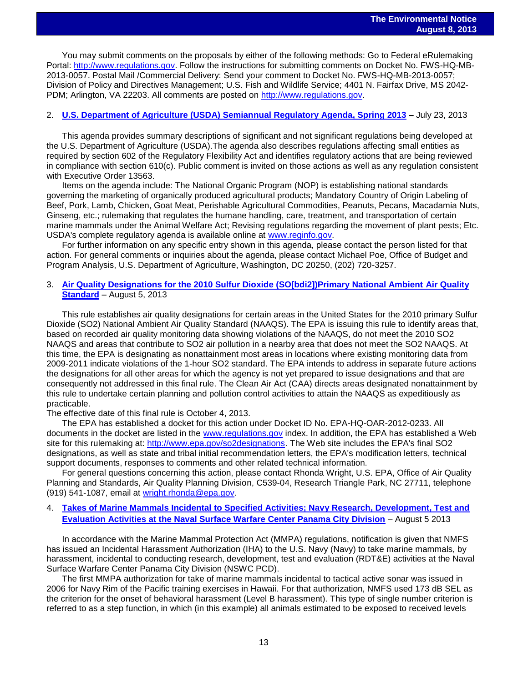You may submit comments on the proposals by either of the following methods: Go to Federal eRulemaking Portal: [http://www.regulations.gov.](http://www.regulations.gov/) Follow the instructions for submitting comments on Docket No. FWS-HQ-MB-2013-0057. Postal Mail /Commercial Delivery: Send your comment to Docket No. FWS-HQ-MB-2013-0057; Division of Policy and Directives Management; U.S. Fish and Wildlife Service; 4401 N. Fairfax Drive, MS 2042- PDM; Arlington, VA 22203. All comments are posted on [http://www.regulations.gov.](http://www.regulations.gov/)

### 2. **[U.S. Department of Agriculture \(USDA\) Semiannual Regulatory Agenda, Spring 2013](http://www.gpo.gov/fdsys/pkg/FR-2013-07-23/pdf/2013-17053.pdf) –** July 23, 2013

This agenda provides summary descriptions of significant and not significant regulations being developed at the U.S. Department of Agriculture (USDA).The agenda also describes regulations affecting small entities as required by section 602 of the Regulatory Flexibility Act and identifies regulatory actions that are being reviewed in compliance with section 610(c). Public comment is invited on those actions as well as any regulation consistent with Executive Order 13563.

Items on the agenda include: The National Organic Program (NOP) is establishing national standards governing the marketing of organically produced agricultural products; Mandatory Country of Origin Labeling of Beef, Pork, Lamb, Chicken, Goat Meat, Perishable Agricultural Commodities, Peanuts, Pecans, Macadamia Nuts, Ginseng, etc.; rulemaking that regulates the humane handling, care, treatment, and transportation of certain marine mammals under the Animal Welfare Act; Revising regulations regarding the movement of plant pests; Etc. USDA's complete regulatory agenda is available online at [www.reginfo.gov.](http://www.reginfo.gov/)

For further information on any specific entry shown in this agenda, please contact the person listed for that action. For general comments or inquiries about the agenda, please contact Michael Poe, Office of Budget and Program Analysis, U.S. Department of Agriculture, Washington, DC 20250, (202) 720-3257.

### 3. **[Air Quality Designations for the 2010 Sulfur Dioxide \(SO\[bdi2\]\)Primary National Ambient Air Quality](http://www.gpo.gov/fdsys/pkg/FR-2013-08-05/pdf/2013-18835.pdf)  [Standard](http://www.gpo.gov/fdsys/pkg/FR-2013-08-05/pdf/2013-18835.pdf)** – August 5, 2013

This rule establishes air quality designations for certain areas in the United States for the 2010 primary Sulfur Dioxide (SO2) National Ambient Air Quality Standard (NAAQS). The EPA is issuing this rule to identify areas that, based on recorded air quality monitoring data showing violations of the NAAQS, do not meet the 2010 SO2 NAAQS and areas that contribute to SO2 air pollution in a nearby area that does not meet the SO2 NAAQS. At this time, the EPA is designating as nonattainment most areas in locations where existing monitoring data from 2009-2011 indicate violations of the 1-hour SO2 standard. The EPA intends to address in separate future actions the designations for all other areas for which the agency is not yet prepared to issue designations and that are consequently not addressed in this final rule. The Clean Air Act (CAA) directs areas designated nonattainment by this rule to undertake certain planning and pollution control activities to attain the NAAQS as expeditiously as practicable.

The effective date of this final rule is October 4, 2013.

The EPA has established a docket for this action under Docket ID No. EPA-HQ-OAR-2012-0233. All documents in the docket are listed in the [www.regulations.gov](http://www.regulations.gov/) index. In addition, the EPA has established a Web site for this rulemaking at: [http://www.epa.gov/so2designations.](http://www.epa.gov/so2designations) The Web site includes the EPA's final SO2 designations, as well as state and tribal initial recommendation letters, the EPA's modification letters, technical support documents, responses to comments and other related technical information.

For general questions concerning this action, please contact Rhonda Wright, U.S. EPA, Office of Air Quality Planning and Standards, Air Quality Planning Division, C539-04, Research Triangle Park, NC 27711, telephone (919) 541-1087, email at [wright.rhonda@epa.gov.](mailto:wright.rhonda@epa.gov)

### 4. **[Takes of Marine Mammals Incidental to Specified Activities; Navy Research, Development, Test and](http://www.gpo.gov/fdsys/pkg/FR-2013-08-05/pdf/2013-18785.pdf)  [Evaluation Activities at the Naval Surface Warfare Center Panama City Division](http://www.gpo.gov/fdsys/pkg/FR-2013-08-05/pdf/2013-18785.pdf)** – August 5 2013

In accordance with the Marine Mammal Protection Act (MMPA) regulations, notification is given that NMFS has issued an Incidental Harassment Authorization (IHA) to the U.S. Navy (Navy) to take marine mammals, by harassment, incidental to conducting research, development, test and evaluation (RDT&E) activities at the Naval Surface Warfare Center Panama City Division (NSWC PCD).

The first MMPA authorization for take of marine mammals incidental to tactical active sonar was issued in 2006 for Navy Rim of the Pacific training exercises in Hawaii. For that authorization, NMFS used 173 dB SEL as the criterion for the onset of behavioral harassment (Level B harassment). This type of single number criterion is referred to as a step function, in which (in this example) all animals estimated to be exposed to received levels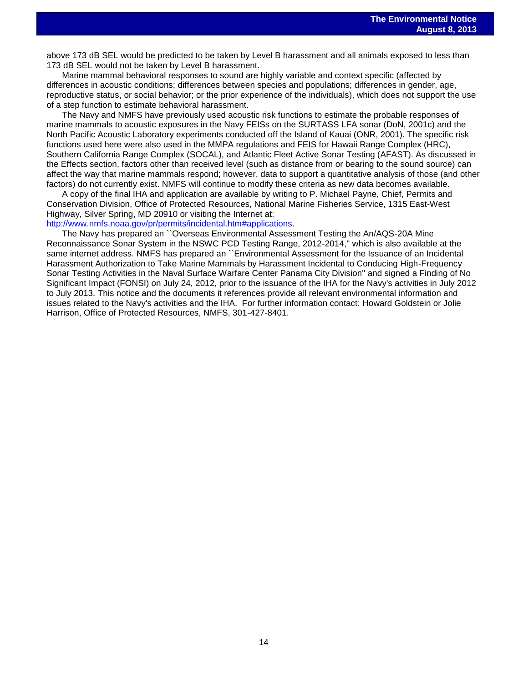above 173 dB SEL would be predicted to be taken by Level B harassment and all animals exposed to less than 173 dB SEL would not be taken by Level B harassment.

Marine mammal behavioral responses to sound are highly variable and context specific (affected by differences in acoustic conditions; differences between species and populations; differences in gender, age, reproductive status, or social behavior; or the prior experience of the individuals), which does not support the use of a step function to estimate behavioral harassment.

The Navy and NMFS have previously used acoustic risk functions to estimate the probable responses of marine mammals to acoustic exposures in the Navy FEISs on the SURTASS LFA sonar (DoN, 2001c) and the North Pacific Acoustic Laboratory experiments conducted off the Island of Kauai (ONR, 2001). The specific risk functions used here were also used in the MMPA regulations and FEIS for Hawaii Range Complex (HRC), Southern California Range Complex (SOCAL), and Atlantic Fleet Active Sonar Testing (AFAST). As discussed in the Effects section, factors other than received level (such as distance from or bearing to the sound source) can affect the way that marine mammals respond; however, data to support a quantitative analysis of those (and other factors) do not currently exist. NMFS will continue to modify these criteria as new data becomes available.

A copy of the final IHA and application are available by writing to P. Michael Payne, Chief, Permits and Conservation Division, Office of Protected Resources, National Marine Fisheries Service, 1315 East-West Highway, Silver Spring, MD 20910 or visiting the Internet at:

[http://www.nmfs.noaa.gov/pr/permits/incidental.htm#applications.](http://www.nmfs.noaa.gov/pr/permits/incidental.htm#applications)

The Navy has prepared an ``Overseas Environmental Assessment Testing the An/AQS-20A Mine Reconnaissance Sonar System in the NSWC PCD Testing Range, 2012-2014,'' which is also available at the same internet address. NMFS has prepared an ``Environmental Assessment for the Issuance of an Incidental Harassment Authorization to Take Marine Mammals by Harassment Incidental to Conducing High-Frequency Sonar Testing Activities in the Naval Surface Warfare Center Panama City Division'' and signed a Finding of No Significant Impact (FONSI) on July 24, 2012, prior to the issuance of the IHA for the Navy's activities in July 2012 to July 2013. This notice and the documents it references provide all relevant environmental information and issues related to the Navy's activities and the IHA. For further information contact: Howard Goldstein or Jolie Harrison, Office of Protected Resources, NMFS, 301-427-8401.